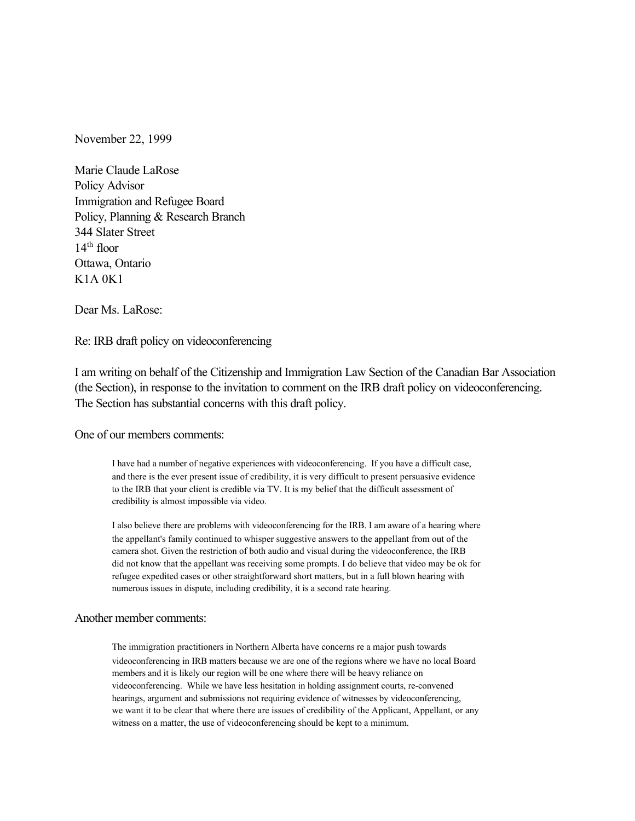November 22, 1999

Marie Claude LaRose Policy Advisor Immigration and Refugee Board Policy, Planning & Research Branch 344 Slater Street  $14<sup>th</sup>$  floor Ottawa, Ontario K1A 0K1

Dear Ms. LaRose:

Re: IRB draft policy on videoconferencing

I am writing on behalf of the Citizenship and Immigration Law Section of the Canadian Bar Association (the Section), in response to the invitation to comment on the IRB draft policy on videoconferencing. The Section has substantial concerns with this draft policy.

#### One of our members comments:

I have had a number of negative experiences with videoconferencing. If you have a difficult case, and there is the ever present issue of credibility, it is very difficult to present persuasive evidence to the IRB that your client is credible via TV. It is my belief that the difficult assessment of credibility is almost impossible via video.

I also believe there are problems with videoconferencing for the IRB. I am aware of a hearing where the appellant's family continued to whisper suggestive answers to the appellant from out of the camera shot. Given the restriction of both audio and visual during the videoconference, the IRB did not know that the appellant was receiving some prompts. I do believe that video may be ok for refugee expedited cases or other straightforward short matters, but in a full blown hearing with numerous issues in dispute, including credibility, it is a second rate hearing.

### Another member comments:

The immigration practitioners in Northern Alberta have concerns re a major push towards videoconferencing in IRB matters because we are one of the regions where we have no local Board members and it is likely our region will be one where there will be heavy reliance on videoconferencing. While we have less hesitation in holding assignment courts, re-convened hearings, argument and submissions not requiring evidence of witnesses by videoconferencing, we want it to be clear that where there are issues of credibility of the Applicant, Appellant, or any witness on a matter, the use of videoconferencing should be kept to a minimum.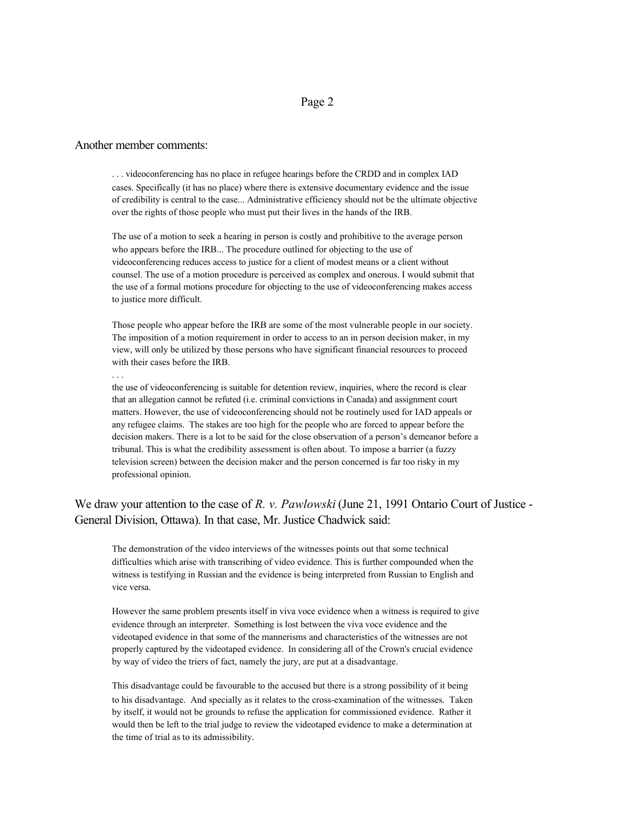### Page 2

#### Another member comments:

. . . videoconferencing has no place in refugee hearings before the CRDD and in complex IAD cases. Specifically (it has no place) where there is extensive documentary evidence and the issue of credibility is central to the case... Administrative efficiency should not be the ultimate objective over the rights of those people who must put their lives in the hands of the IRB.

The use of a motion to seek a hearing in person is costly and prohibitive to the average person who appears before the IRB... The procedure outlined for objecting to the use of videoconferencing reduces access to justice for a client of modest means or a client without counsel. The use of a motion procedure is perceived as complex and onerous. I would submit that the use of a formal motions procedure for objecting to the use of videoconferencing makes access to justice more difficult.

Those people who appear before the IRB are some of the most vulnerable people in our society. The imposition of a motion requirement in order to access to an in person decision maker, in my view, will only be utilized by those persons who have significant financial resources to proceed with their cases before the IRB.

the use of videoconferencing is suitable for detention review, inquiries, where the record is clear that an allegation cannot be refuted (i.e. criminal convictions in Canada) and assignment court matters. However, the use of videoconferencing should not be routinely used for IAD appeals or any refugee claims. The stakes are too high for the people who are forced to appear before the decision makers. There is a lot to be said for the close observation of a person's demeanor before a tribunal. This is what the credibility assessment is often about. To impose a barrier (a fuzzy television screen) between the decision maker and the person concerned is far too risky in my professional opinion.

# We draw your attention to the case of *R. v. Pawlowski* (June 21, 1991 Ontario Court of Justice -General Division, Ottawa). In that case, Mr. Justice Chadwick said:

The demonstration of the video interviews of the witnesses points out that some technical difficulties which arise with transcribing of video evidence. This is further compounded when the witness is testifying in Russian and the evidence is being interpreted from Russian to English and vice versa.

However the same problem presents itself in viva voce evidence when a witness is required to give evidence through an interpreter. Something is lost between the viva voce evidence and the videotaped evidence in that some of the mannerisms and characteristics of the witnesses are not properly captured by the videotaped evidence. In considering all of the Crown's crucial evidence by way of video the triers of fact, namely the jury, are put at a disadvantage.

This disadvantage could be favourable to the accused but there is a strong possibility of it being to his disadvantage. And specially as it relates to the cross-examination of the witnesses. Taken by itself, it would not be grounds to refuse the application for commissioned evidence. Rather it would then be left to the trial judge to review the videotaped evidence to make a determination at the time of trial as to its admissibility.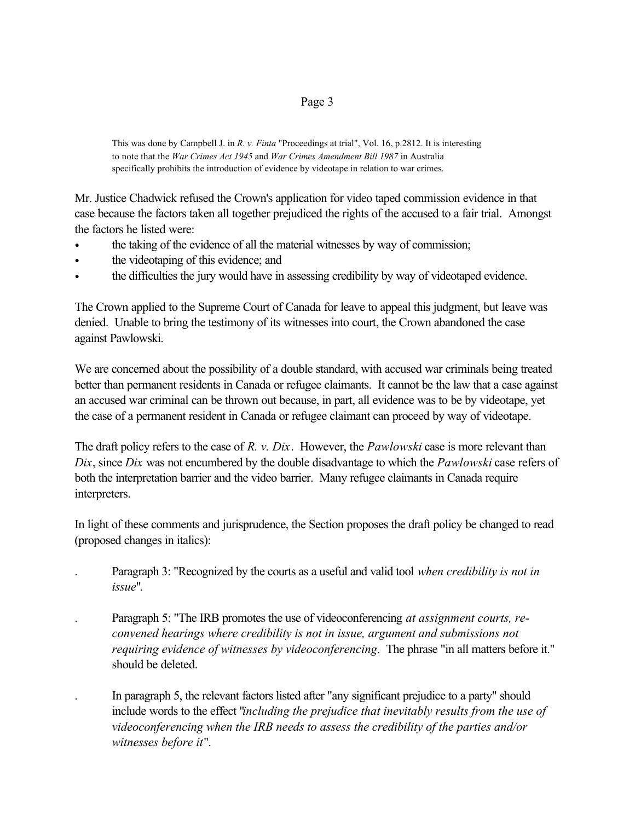## Page 3

This was done by Campbell J. in *R. v. Finta* "Proceedings at trial", Vol. 16, p.2812. It is interesting to note that the *War Crimes Act 1945* and *War Crimes Amendment Bill 1987* in Australia specifically prohibits the introduction of evidence by videotape in relation to war crimes.

Mr. Justice Chadwick refused the Crown's application for video taped commission evidence in that case because the factors taken all together prejudiced the rights of the accused to a fair trial. Amongst the factors he listed were:

- the taking of the evidence of all the material witnesses by way of commission;
- the videotaping of this evidence; and
- the difficulties the jury would have in assessing credibility by way of videotaped evidence.

The Crown applied to the Supreme Court of Canada for leave to appeal this judgment, but leave was denied. Unable to bring the testimony of its witnesses into court, the Crown abandoned the case against Pawlowski.

We are concerned about the possibility of a double standard, with accused war criminals being treated better than permanent residents in Canada or refugee claimants. It cannot be the law that a case against an accused war criminal can be thrown out because, in part, all evidence was to be by videotape, yet the case of a permanent resident in Canada or refugee claimant can proceed by way of videotape.

The draft policy refers to the case of *R. v. Dix*. However, the *Pawlowski* case is more relevant than *Dix*, since *Dix* was not encumbered by the double disadvantage to which the *Pawlowski* case refers of both the interpretation barrier and the video barrier. Many refugee claimants in Canada require interpreters.

In light of these comments and jurisprudence, the Section proposes the draft policy be changed to read (proposed changes in italics):

- . Paragraph 3: "Recognized by the courts as a useful and valid tool *when credibility is not in issue*".
- . Paragraph 5: "The IRB promotes the use of videoconferencing *at assignment courts, reconvened hearings where credibility is not in issue, argument and submissions not requiring evidence of witnesses by videoconferencing*. The phrase "in all matters before it." should be deleted.
- . In paragraph 5, the relevant factors listed after "any significant prejudice to a party" should include words to the effect "*including the prejudice that inevitably results from the use of videoconferencing when the IRB needs to assess the credibility of the parties and/or witnesses before it*".